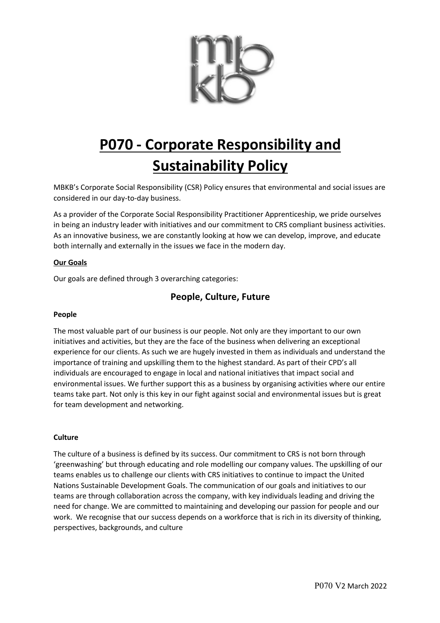

# **P070 - Corporate Responsibility and Sustainability Policy**

MBKB's Corporate Social Responsibility (CSR) Policy ensures that environmental and social issues are considered in our day-to-day business.

As a provider of the Corporate Social Responsibility Practitioner Apprenticeship, we pride ourselves in being an industry leader with initiatives and our commitment to CRS compliant business activities. As an innovative business, we are constantly looking at how we can develop, improve, and educate both internally and externally in the issues we face in the modern day.

### **Our Goals**

Our goals are defined through 3 overarching categories:

# **People, Culture, Future**

### **People**

The most valuable part of our business is our people. Not only are they important to our own initiatives and activities, but they are the face of the business when delivering an exceptional experience for our clients. As such we are hugely invested in them as individuals and understand the importance of training and upskilling them to the highest standard. As part of their CPD's all individuals are encouraged to engage in local and national initiatives that impact social and environmental issues. We further support this as a business by organising activities where our entire teams take part. Not only is this key in our fight against social and environmental issues but is great for team development and networking.

### **Culture**

The culture of a business is defined by its success. Our commitment to CRS is not born through 'greenwashing' but through educating and role modelling our company values. The upskilling of our teams enables us to challenge our clients with CRS initiatives to continue to impact the United Nations Sustainable Development Goals. The communication of our goals and initiatives to our teams are through collaboration across the company, with key individuals leading and driving the need for change. We are committed to maintaining and developing our passion for people and our work. We recognise that our success depends on a workforce that is rich in its diversity of thinking, perspectives, backgrounds, and culture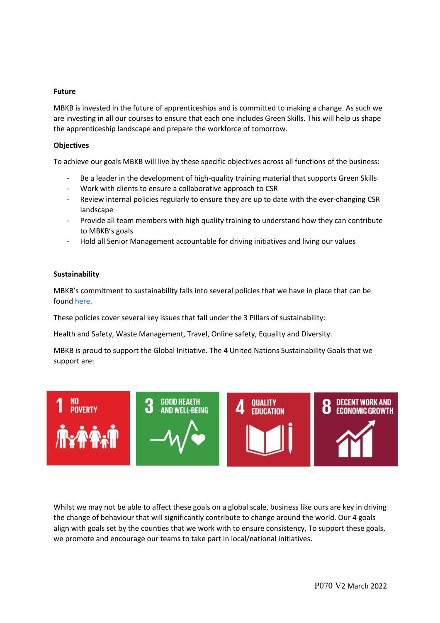### **Future**

MBKB is invested in the future of apprenticeships and is committed to making a change. As such we are investing in all our courses to ensure that each one includes Green Skills. This will help us shape the apprenticeship landscape and prepare the workforce of tomorrow.

#### **Objectives**

To achieve our goals MBKB will live by these specific objectives across all functions of the business:

- Be a leader in the development of high-quality training material that supports Green Skills
- Work with clients to ensure a collaborative approach to CSR
- Review internal policies regularly to ensure they are up to date with the ever-changing CSR landscape
- Provide all team members with high quality training to understand how they can contribute to MBKB's goals
- Hold all Senior Management accountable for driving initiatives and living our values

#### **Sustainability**

MBKB's commitment to sustainability falls into several policies that we have in place that can be found here.

These policies cover several key issues that fall under the 3 Pillars of sustainability:

Health and Safety, Waste Management, Travel, Online safety, Equality and Diversity.

MBKB is proud to support the Global Initiative. The 4 United Nations Sustainability Goals that we support are:



Whilst we may not be able to affect these goals on a global scale, business like ours are key in driving the change of behaviour that will significantly contribute to change around the world. Our 4 goals align with goals set by the counties that we work with to ensure consistency, To support these goals, we promote and encourage our teams to take part in local/national initiatives.